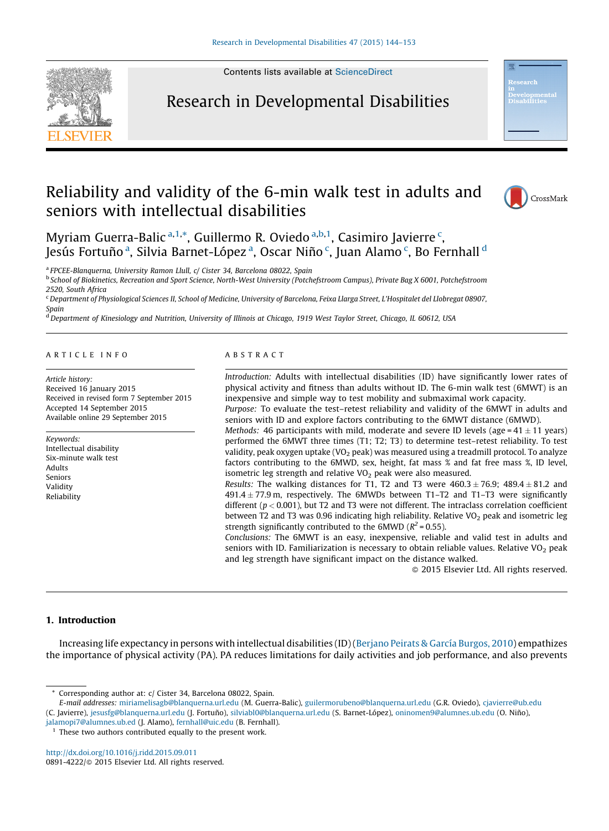

Contents lists available at [ScienceDirect](http://www.sciencedirect.com/science/journal/08914222)

## Research in Developmental Disabilities



## Reliability and validity of the 6-min walk test in adults and seniors with intellectual disabilities



Myriam Guerra-Balic <sup>a,1,\*</sup>, Guillermo R. Oviedo <sup>a,b,1</sup>, Casimiro Javierre <sup>c</sup>, Jesús Fortuño <sup>a</sup>, Silvia Barnet-López <sup>a</sup>, Oscar Niño <sup>c</sup>, Juan Alamo <sup>c</sup>, Bo Fernhall <sup>d</sup>

<sup>a</sup> FPCEE-Blanquerna, University Ramon Llull, c/ Cister 34, Barcelona 08022, Spain

<sup>b</sup> School of Biokinetics, Recreation and Sport Science, North-West University (Potchefstroom Campus), Private Bag X 6001, Potchefstroom 2520, South Africa

<sup>c</sup> Department of Physiological Sciences II, School of Medicine, University of Barcelona, Feixa Llarga Street, L'Hospitalet del Llobregat 08907, Spain

<sup>d</sup> Department of Kinesiology and Nutrition, University of Illinois at Chicago, 1919 West Taylor Street, Chicago, IL 60612, USA

#### A R T I C L E I N F O

Article history: Received 16 January 2015 Received in revised form 7 September 2015 Accepted 14 September 2015 Available online 29 September 2015

Keywords: Intellectual disability Six-minute walk test Adults Seniors Validity Reliability

### A B S T R A C T

Introduction: Adults with intellectual disabilities (ID) have significantly lower rates of physical activity and fitness than adults without ID. The 6-min walk test (6MWT) is an inexpensive and simple way to test mobility and submaximal work capacity. Purpose: To evaluate the test–retest reliability and validity of the 6MWT in adults and seniors with ID and explore factors contributing to the 6MWT distance (6MWD). *Methods:* 46 participants with mild, moderate and severe ID levels (age=41 $\pm$ 11 years)

performed the 6MWT three times (T1; T2; T3) to determine test–retest reliability. To test validity, peak oxygen uptake (VO<sub>2</sub> peak) was measured using a treadmill protocol. To analyze factors contributing to the 6MWD, sex, height, fat mass % and fat free mass %, ID level, isometric leg strength and relative  $VO<sub>2</sub>$  peak were also measured.

*Results:* The walking distances for T1, T2 and T3 were  $460.3 \pm 76.9$ ;  $489.4 \pm 81.2$  and 491.4  $\pm$  77.9 m, respectively. The 6MWDs between T1–T2 and T1–T3 were significantly different ( $p < 0.001$ ), but T2 and T3 were not different. The intraclass correlation coefficient between T2 and T3 was 0.96 indicating high reliability. Relative VO<sub>2</sub> peak and isometric leg strength significantly contributed to the 6MWD ( $R^2$  = 0.55).

Conclusions: The 6MWT is an easy, inexpensive, reliable and valid test in adults and seniors with ID. Familiarization is necessary to obtain reliable values. Relative  $VO<sub>2</sub>$  peak and leg strength have significant impact on the distance walked.

- 2015 Elsevier Ltd. All rights reserved.

#### 1. Introduction

Increasing life expectancy in persons with intellectual disabilities (ID) ([Berjano](#page--1-0) Peirats & García Burgos, 2010) empathizes the importance of physical activity (PA). PA reduces limitations for daily activities and job performance, and also prevents

<http://dx.doi.org/10.1016/j.ridd.2015.09.011> 0891-4222/© 2015 Elsevier Ltd. All rights reserved.

Corresponding author at: c/ Cister 34, Barcelona 08022, Spain.

E-mail addresses: [miriamelisagb@blanquerna.url.edu](mailto:miriamelisagb@blanquerna.url.edu) (M. Guerra-Balic), [guilermorubeno@blanquerna.url.edu](mailto:guilermorubeno@blanquerna.url.edu) (G.R. Oviedo), [cjavierre@ub.edu](mailto:cjavierre@ub.edu) (C. Javierre), [jesusfg@blanquerna.url.edu](mailto:jesusfg@blanquerna.url.edu) (J. Fortuño), [silviabl0@blanquerna.url.edu](mailto:silviabl0@blanquerna.url.edu) (S. Barnet-López), [oninomen9@alumnes.ub.edu](mailto:oninomen9@alumnes.ub.edu) (O. Niño), [jalamopi7@alumnes.ub.ed](mailto:jalamopi7@alumnes.ub.ed) (J. Alamo), [fernhall@uic.edu](mailto:fernhall@uic.edu) (B. Fernhall).

 $^{\rm 1}$  These two authors contributed equally to the present work.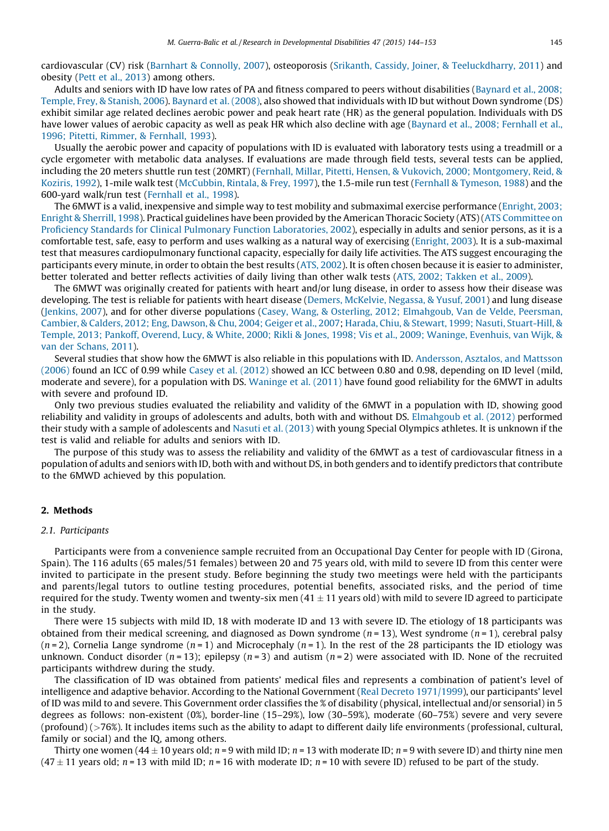cardiovascular (CV) risk (Barnhart & [Connolly,](#page--1-0) 2007), osteoporosis (Srikanth, Cassidy, Joiner, & [Teeluckdharry,](#page--1-0) 2011) and obesity (Pett et al., [2013](#page--1-0)) among others.

Adults and seniors with ID have low rates of PA and fitness compared to peers without disabilities [\(Baynard](#page--1-0) et al., 2008; [Temple,](#page--1-0) Frey, & Stanish, 2006). [Baynard](#page--1-0) et al. (2008), also showed that individuals with ID but without Down syndrome (DS) exhibit similar age related declines aerobic power and peak heart rate (HR) as the general population. Individuals with DS have lower values of aerobic capacity as well as peak HR which also decline with age ([Baynard](#page--1-0) et al., 2008; Fernhall et al., 1996; Pitetti, Rimmer, & [Fernhall,](#page--1-0) 1993).

Usually the aerobic power and capacity of populations with ID is evaluated with laboratory tests using a treadmill or a cycle ergometer with metabolic data analyses. If evaluations are made through field tests, several tests can be applied, including the 20 meters shuttle run test (20MRT) (Fernhall, Millar, Pitetti, Hensen, & Vukovich, 2000; [Montgomery,](#page--1-0) Reid, & [Koziris,](#page--1-0) 1992), 1-mile walk test [\(McCubbin,](#page--1-0) Rintala, & Frey, 1997), the 1.5-mile run test (Fernhall & [Tymeson,](#page--1-0) 1988) and the 600-yard walk/run test [\(Fernhall](#page--1-0) et al., 1998).

The 6MWT is a valid, inexpensive and simple way to test mobility and submaximal exercise performance [\(Enright,](#page--1-0) 2003; Enright & [Sherrill,](#page--1-0) 1998). Practical guidelines have been provided by the American Thoracic Society (ATS) (ATS [Committee](#page--1-0) on Proficiency Standards for Clinical Pulmonary Function [Laboratories,](#page--1-0) 2002), especially in adults and senior persons, as it is a comfortable test, safe, easy to perform and uses walking as a natural way of exercising [\(Enright,](#page--1-0) 2003). It is a sub-maximal test that measures cardiopulmonary functional capacity, especially for daily life activities. The ATS suggest encouraging the participants every minute, in order to obtain the best results (ATS, [2002\)](#page--1-0). It is often chosen because it is easier to administer, better tolerated and better reflects activities of daily living than other walk tests (ATS, 2002; [Takken](#page--1-0) et al., 2009).

The 6MWT was originally created for patients with heart and/or lung disease, in order to assess how their disease was developing. The test is reliable for patients with heart disease (Demers, [McKelvie,](#page--1-0) Negassa, & Yusuf, 2001) and lung disease ([Jenkins,](#page--1-0) 2007), and for other diverse populations (Casey, Wang, & Osterling, 2012; [Elmahgoub,](#page--1-0) Van de Velde, Peersman, [Cambier,](#page--1-0) & Calders, 2012; Eng, Dawson, & Chu, 2004; Geiger et al., 2007; Harada, Chiu, & Stewart, 1999; Nasuti, [Stuart-Hill,](#page--1-0) & Temple, 2013; Pankoff, Overend, Lucy, & White, 2000; Rikli & Jones, 1998; Vis et al., 2009; Waninge, [Evenhuis,](#page--1-0) van Wijk, & van der [Schans,](#page--1-0) 2011).

Several studies that show how the 6MWT is also reliable in this populations with ID. [Andersson,](#page--1-0) Asztalos, and Mattsson [\(2006\)](#page--1-0) found an ICC of 0.99 while Casey et al. [\(2012\)](#page--1-0) showed an ICC between 0.80 and 0.98, depending on ID level (mild, moderate and severe), for a population with DS. [Waninge](#page--1-0) et al. (2011) have found good reliability for the 6MWT in adults with severe and profound ID.

Only two previous studies evaluated the reliability and validity of the 6MWT in a population with ID, showing good reliability and validity in groups of adolescents and adults, both with and without DS. [Elmahgoub](#page--1-0) et al. (2012) performed their study with a sample of adolescents and Nasuti et al. [\(2013\)](#page--1-0) with young Special Olympics athletes. It is unknown if the test is valid and reliable for adults and seniors with ID.

The purpose of this study was to assess the reliability and validity of the 6MWT as a test of cardiovascular fitness in a population of adults and seniors with ID, both with and without DS, in both genders and to identify predictors that contribute to the 6MWD achieved by this population.

#### 2. Methods

#### 2.1. Participants

Participants were from a convenience sample recruited from an Occupational Day Center for people with ID (Girona, Spain). The 116 adults (65 males/51 females) between 20 and 75 years old, with mild to severe ID from this center were invited to participate in the present study. Before beginning the study two meetings were held with the participants and parents/legal tutors to outline testing procedures, potential benefits, associated risks, and the period of time required for the study. Twenty women and twenty-six men (41  $\pm$  11 years old) with mild to severe ID agreed to participate in the study.

There were 15 subjects with mild ID, 18 with moderate ID and 13 with severe ID. The etiology of 18 participants was obtained from their medical screening, and diagnosed as Down syndrome ( $n = 13$ ), West syndrome ( $n = 1$ ), cerebral palsy  $(n=2)$ , Cornelia Lange syndrome  $(n=1)$  and Microcephaly  $(n=1)$ . In the rest of the 28 participants the ID etiology was unknown. Conduct disorder ( $n = 13$ ); epilepsy ( $n = 3$ ) and autism ( $n = 2$ ) were associated with ID. None of the recruited participants withdrew during the study.

The classification of ID was obtained from patients' medical files and represents a combination of patient's level of intelligence and adaptive behavior. According to the National Government (Real Decreto [1971/1999\)](#page--1-0), our participants' level of ID was mild to and severe. This Government order classifies the % of disability (physical, intellectual and/or sensorial) in 5 degrees as follows: non-existent (0%), border-line (15–29%), low (30–59%), moderate (60–75%) severe and very severe (profound) (>76%). It includes items such as the ability to adapt to different daily life environments (professional, cultural, family or social) and the IQ, among others.

Thirty one women (44  $\pm$  10 years old;  $n$  = 9 with mild ID;  $n$  = 13 with moderate ID;  $n$  = 9 with severe ID) and thirty nine men (47  $\pm$  11 years old;  $n$  = 13 with mild ID;  $n$  = 16 with moderate ID;  $n$  = 10 with severe ID) refused to be part of the study.